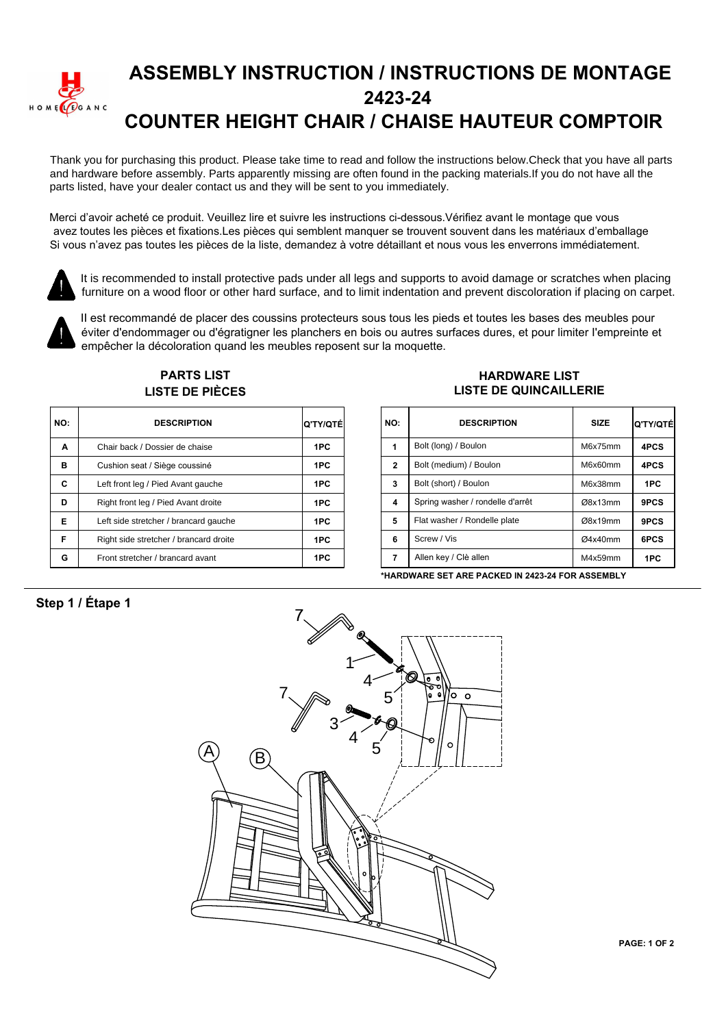

## **ASSEMBLY INSTRUCTION / INSTRUCTIONS DE MONTAGE 2423-24 COUNTER HEIGHT CHAIR / CHAISE HAUTEUR COMPTOIR**

Thank you for purchasing this product. Please take time to read and follow the instructions below.Check that you have all parts and hardware before assembly. Parts apparently missing are often found in the packing materials.If you do not have all the parts listed, have your dealer contact us and they will be sent to you immediately.

Merci d'avoir acheté ce produit. Veuillez lire et suivre les instructions ci-dessous. Vérifiez avant le montage que vous avez toutes les pièces et fixations.Les pièces qui semblent manquer se trouvent souvent dans les matériaux d'emballage Si vous n'avez pas toutes les pièces de la liste, demandez à votre détaillant et nous vous les enverrons immédiatement.



It is recommended to install protective pads under all legs and supports to avoid damage or scratches when placing furniture on a wood floor or other hard surface, and to limit indentation and prevent discoloration if placing on carpet.



Il est recommandé de placer des coussins protecteurs sous tous les pieds et toutes les bases des meubles pour éviter d'endommager ou d'égratigner les planchers en bois ou autres surfaces dures, et pour limiter l'empreinte et empêcher la décoloration quand les meubles reposent sur la moquette.

| <b>LISTE DE PIÈCES</b> |                                        |                 |  |                |  |  |
|------------------------|----------------------------------------|-----------------|--|----------------|--|--|
| NO:                    | <b>DESCRIPTION</b>                     | <b>Q'TY/QTÉ</b> |  | <b>NO</b>      |  |  |
| Α                      | Chair back / Dossier de chaise         | 1PC             |  | 1              |  |  |
| в                      | Cushion seat / Siège coussiné          | 1PC             |  | $\overline{2}$ |  |  |
| C                      | Left front leg / Pied Avant gauche     | 1PC             |  | 3              |  |  |
| D                      | Right front leg / Pied Avant droite    | 1PC             |  | 4              |  |  |
| Е                      | Left side stretcher / brancard gauche  | 1PC             |  | 5              |  |  |
| F                      | Right side stretcher / brancard droite | 1PC             |  | 6              |  |  |
| G                      | Front stretcher / brancard avant       | 1PC             |  | 7              |  |  |

**PARTS LIST**

## **HARDWARE LIST LISTE DE QUINCAILLERIE**

| TY/QTÉI | NO:          | <b>DESCRIPTION</b>               | <b>SIZE</b> | Ο'ΤΥ/ΟΤΈ |
|---------|--------------|----------------------------------|-------------|----------|
| 1PC     | 1            | Bolt (long) / Boulon             | M6x75mm     | 4PCS     |
| 1PC     | $\mathbf{2}$ | Bolt (medium) / Boulon           | M6x60mm     | 4PCS     |
| 1PC     | 3            | Bolt (short) / Boulon            | M6x38mm     | 1PC      |
| 1PC     | 4            | Spring washer / rondelle d'arrêt | Ø8x13mm     | 9PCS     |
| 1PC     | 5            | Flat washer / Rondelle plate     | Ø8x19mm     | 9PCS     |
| 1PC     | 6            | Screw / Vis                      | Ø4x40mm     | 6PCS     |
| 1PC     | 7            | Allen key / Clè allen            | M4x59mm     | 1PC      |

**\*HARDWARE SET ARE PACKED IN 2423-24 FOR ASSEMBLY**

## Step 1 / Étape 1